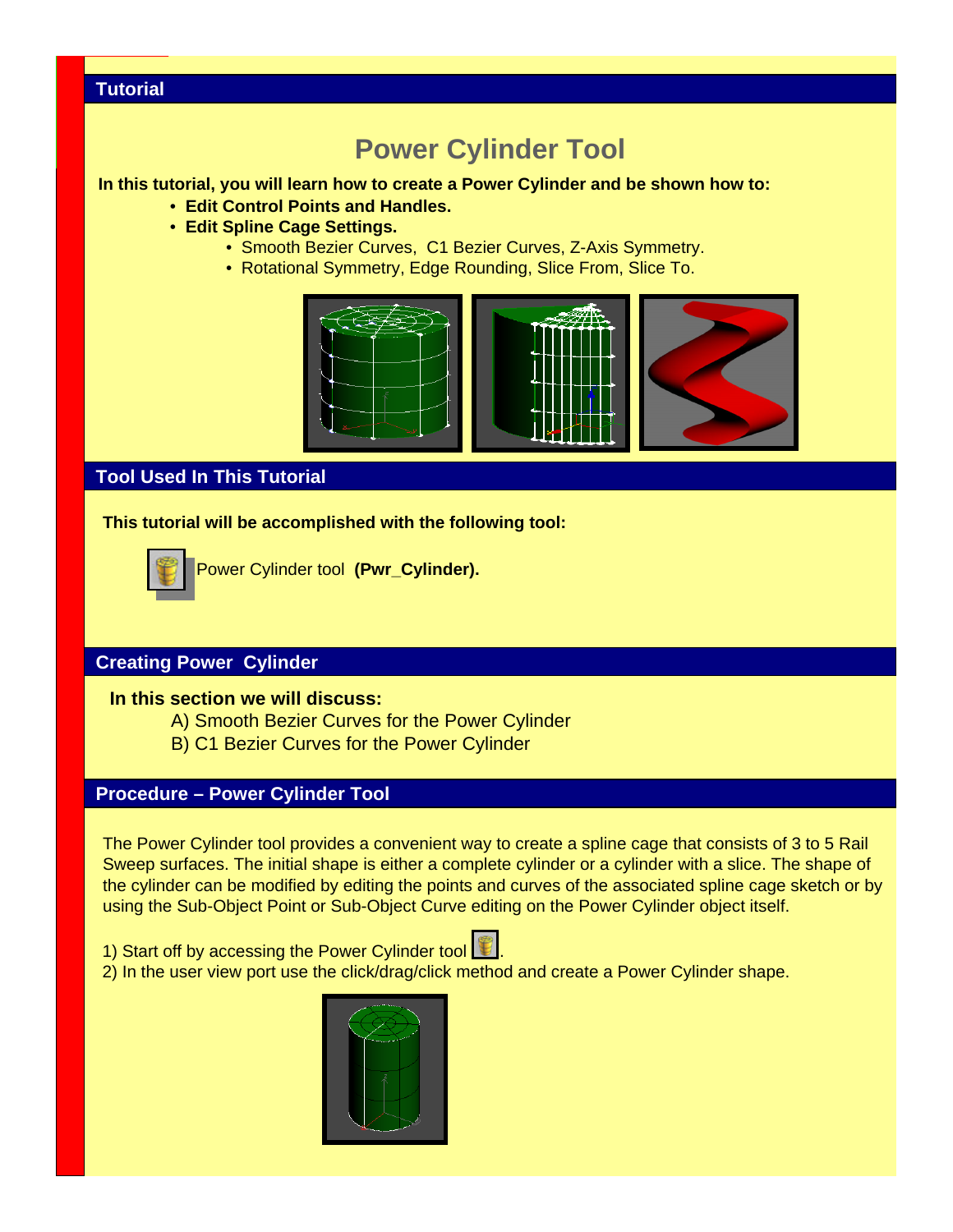## **Tutorial**

# **Power Cylinder Tool**

#### **In this tutorial, you will learn how to create a Power Cylinder and be shown how to:**

- **Edit Control Points and Handles.**
- **Edit Spline Cage Settings.**
	- Smooth Bezier Curves, C1 Bezier Curves, Z-Axis Symmetry.
	- Rotational Symmetry, Edge Rounding, Slice From, Slice To.



# **Tool Used In This Tutorial**

**This tutorial will be accomplished with the following tool:**



Power Cylinder tool **(Pwr\_Cylinder).**

## **Creating Power Cylinder**

#### **In this section we will discuss:**

- A) Smooth Bezier Curves for the Power Cylinder
- B) C1 Bezier Curves for the Power Cylinder

# **Procedure – Power Cylinder Tool**

The Power Cylinder tool provides a convenient way to create a spline cage that consists of 3 to 5 Rail Sweep surfaces. The initial shape is either a complete cylinder or a cylinder with a slice. The shape of the cylinder can be modified by editing the points and curves of the associated spline cage sketch or by using the Sub-Object Point or Sub-Object Curve editing on the Power Cylinder object itself.

1) Start off by accessing the Power Cylinder tool



2) In the user view port use the click/drag/click method and create a Power Cylinder shape.

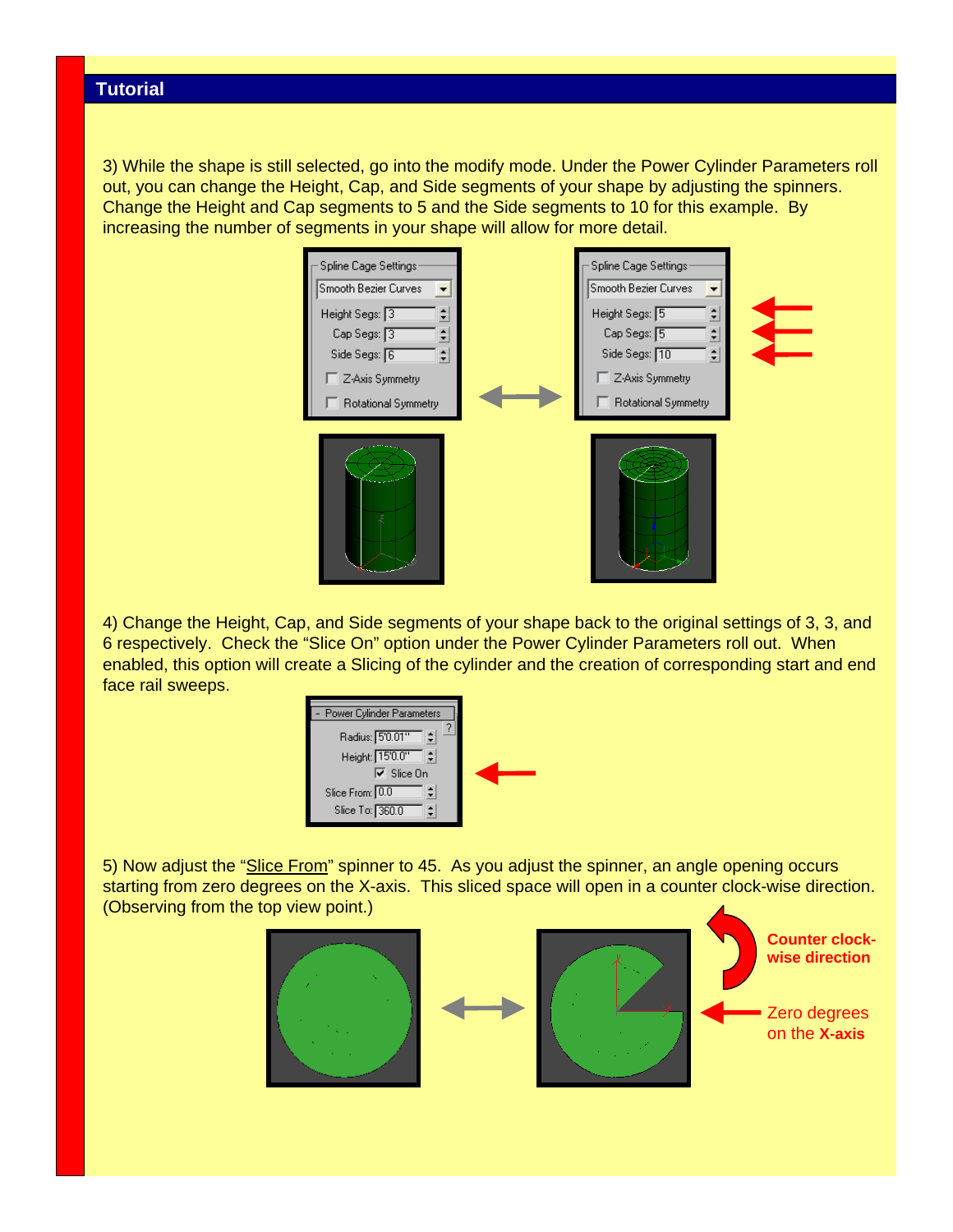3) While the shape is still selected, go into the modify mode. Under the Power Cylinder Parameters roll out, you can change the Height, Cap, and Side segments of your shape by adjusting the spinners. Change the Height and Cap segments to 5 and the Side segments to 10 for this example. By increasing the number of segments in your shape will allow for more detail.



4) Change the Height, Cap, and Side segments of your shape back to the original settings of 3, 3, and 6 respectively. Check the "Slice On" option under the Power Cylinder Parameters roll out. When enabled, this option will create a Slicing of the cylinder and the creation of corresponding start and end face rail sweeps.



5) Now adjust the "Slice From" spinner to 45. As you adjust the spinner, an angle opening occurs starting from zero degrees on the X-axis. This sliced space will open in a counter clock-wise direction. (Observing from the top view point.)

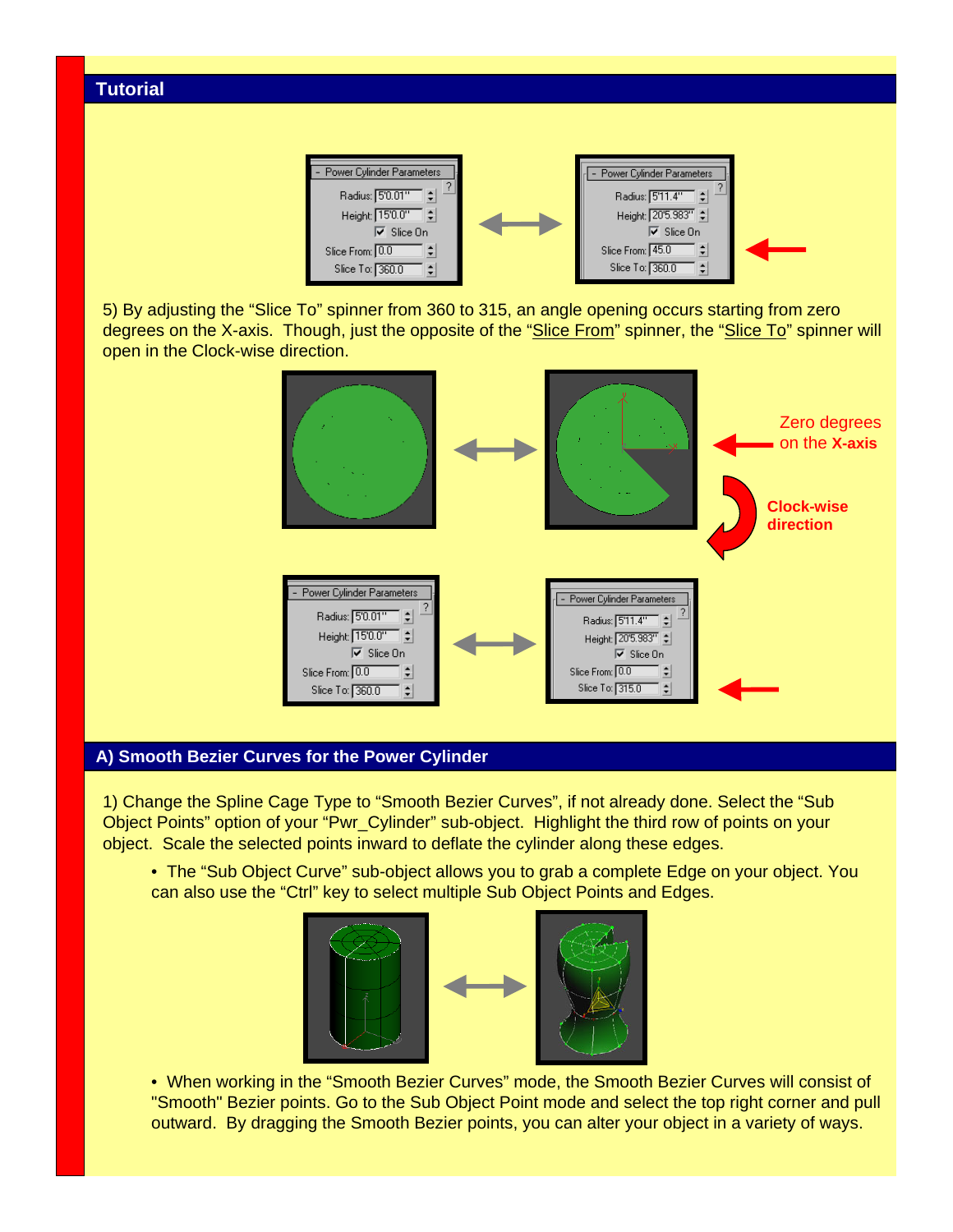

5) By adjusting the "Slice To" spinner from 360 to 315, an angle opening occurs starting from zero degrees on the X-axis. Though, just the opposite of the "Slice From" spinner, the "Slice To" spinner will open in the Clock-wise direction.



#### **A) Smooth Bezier Curves for the Power Cylinder**

1) Change the Spline Cage Type to "Smooth Bezier Curves", if not already done. Select the "Sub Object Points" option of your "Pwr\_Cylinder" sub-object. Highlight the third row of points on your object. Scale the selected points inward to deflate the cylinder along these edges.

• The "Sub Object Curve" sub-object allows you to grab a complete Edge on your object. You can also use the "Ctrl" key to select multiple Sub Object Points and Edges.



• When working in the "Smooth Bezier Curves" mode, the Smooth Bezier Curves will consist of "Smooth" Bezier points. Go to the Sub Object Point mode and select the top right corner and pull outward. By dragging the Smooth Bezier points, you can alter your object in a variety of ways.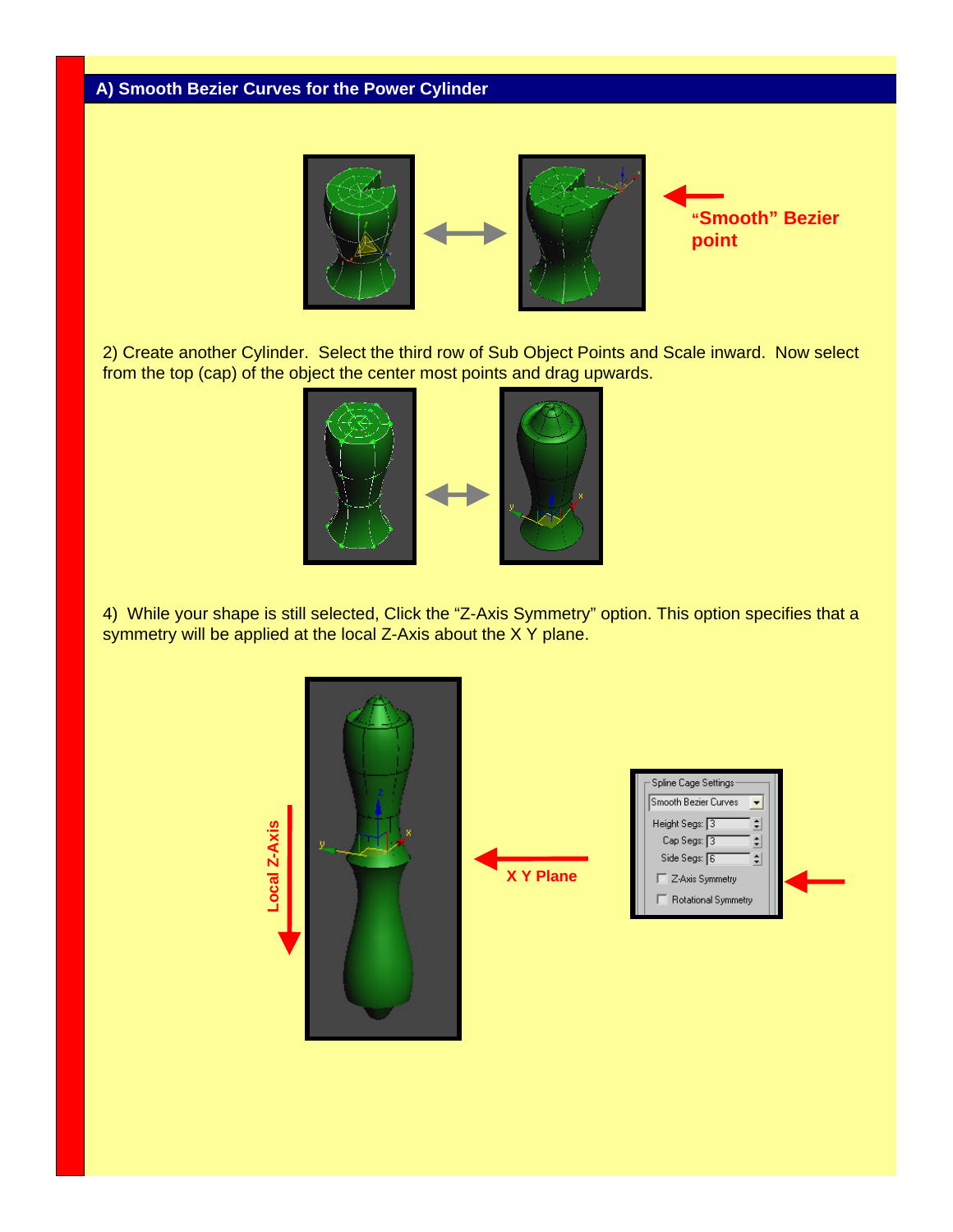## **A) Smooth Bezier Curves for the Power Cylinder**



2) Create another Cylinder. Select the third row of Sub Object Points and Scale inward. Now select from the top (cap) of the object the center most points and drag upwards.



4) While your shape is still selected, Click the "Z-Axis Symmetry" option. This option specifies that a symmetry will be applied at the local Z-Axis about the X Y plane.

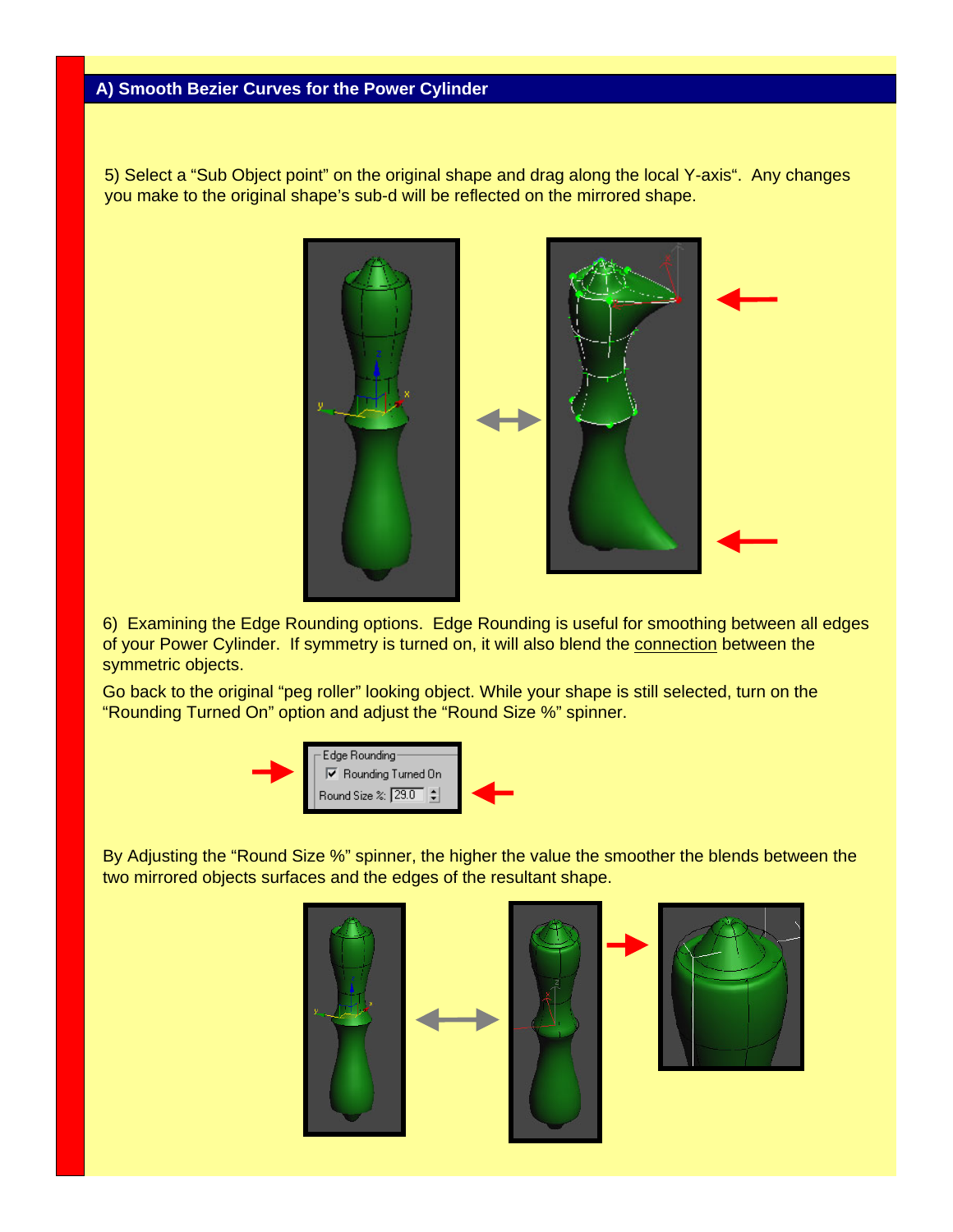5) Select a "Sub Object point" on the original shape and drag along the local Y-axis". Any changes you make to the original shape's sub-d will be reflected on the mirrored shape.



6) Examining the Edge Rounding options. Edge Rounding is useful for smoothing between all edges of your Power Cylinder. If symmetry is turned on, it will also blend the connection between the symmetric objects.

Go back to the original "peg roller" looking object. While your shape is still selected, turn on the "Rounding Turned On" option and adjust the "Round Size %" spinner.



By Adjusting the "Round Size %" spinner, the higher the value the smoother the blends between the two mirrored objects surfaces and the edges of the resultant shape.





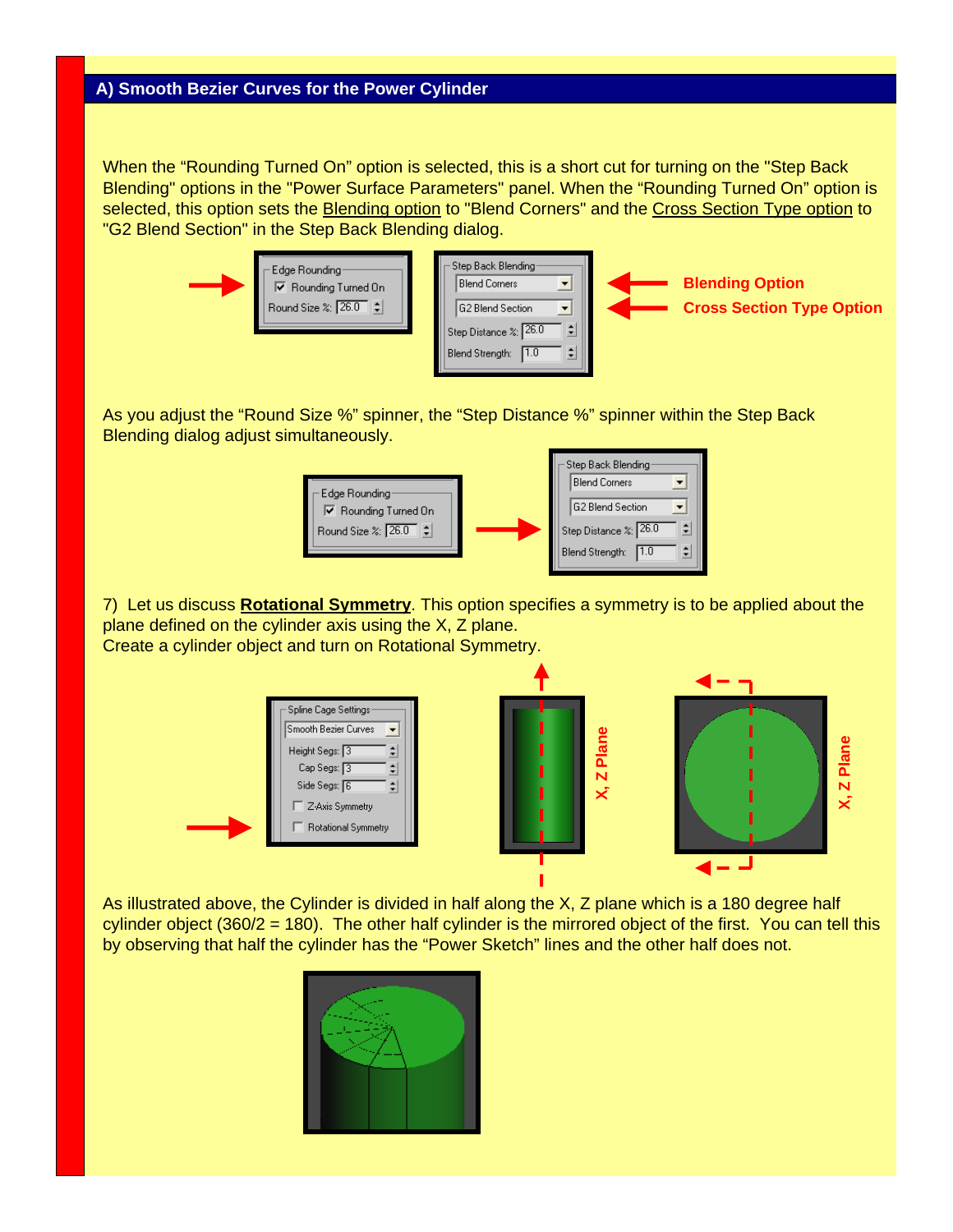When the "Rounding Turned On" option is selected, this is a short cut for turning on the "Step Back Blending" options in the "Power Surface Parameters" panel. When the "Rounding Turned On" option is selected, this option sets the Blending option to "Blend Corners" and the Cross Section Type option to "G2 Blend Section" in the Step Back Blending dialog.



As you adjust the "Round Size %" spinner, the "Step Distance %" spinner within the Step Back Blending dialog adjust simultaneously.



7) Let us discuss **Rotational Symmetry**. This option specifies a symmetry is to be applied about the plane defined on the cylinder axis using the X, Z plane. Create a cylinder object and turn on Rotational Symmetry.



As illustrated above, the Cylinder is divided in half along the X, Z plane which is a 180 degree half cylinder object (360/2 = 180). The other half cylinder is the mirrored object of the first. You can tell this by observing that half the cylinder has the "Power Sketch" lines and the other half does not.

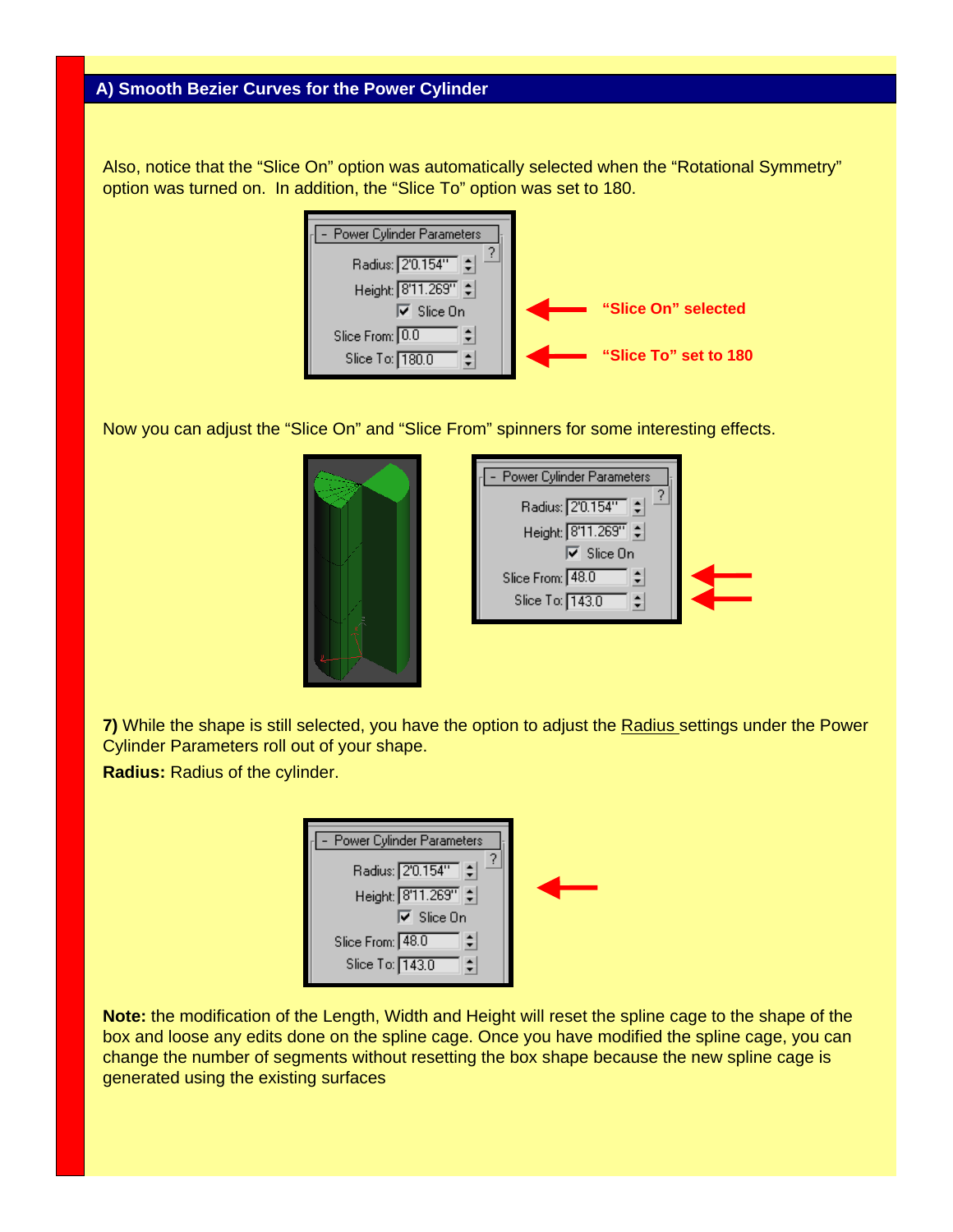Also, notice that the "Slice On" option was automatically selected when the "Rotational Symmetry" option was turned on. In addition, the "Slice To" option was set to 180.



Now you can adjust the "Slice On" and "Slice From" spinners for some interesting effects.



| Power Cylinder Parameters<br>Radius: 2'0.154"        |  |
|------------------------------------------------------|--|
| Height: 8'11.269"   0                                |  |
| $\overline{\mathsf{v}}$ Slice On<br>Slice From: 48.0 |  |
| Slice To: 143.0                                      |  |
|                                                      |  |

**7)** While the shape is still selected, you have the option to adjust the Radius settings under the Power Cylinder Parameters roll out of your shape.

**Radius:** Radius of the cylinder.

| Power Cylinder Parameters                    |  |
|----------------------------------------------|--|
| Radius: 2'0.154"<br>Height: 8'11.269" $\div$ |  |
|                                              |  |
| $\overline{\mathsf{v}}$ Slice On             |  |
| Slice From: 48.0                             |  |
| Slice To: 143.0                              |  |

**Note:** the modification of the Length, Width and Height will reset the spline cage to the shape of the box and loose any edits done on the spline cage. Once you have modified the spline cage, you can change the number of segments without resetting the box shape because the new spline cage is generated using the existing surfaces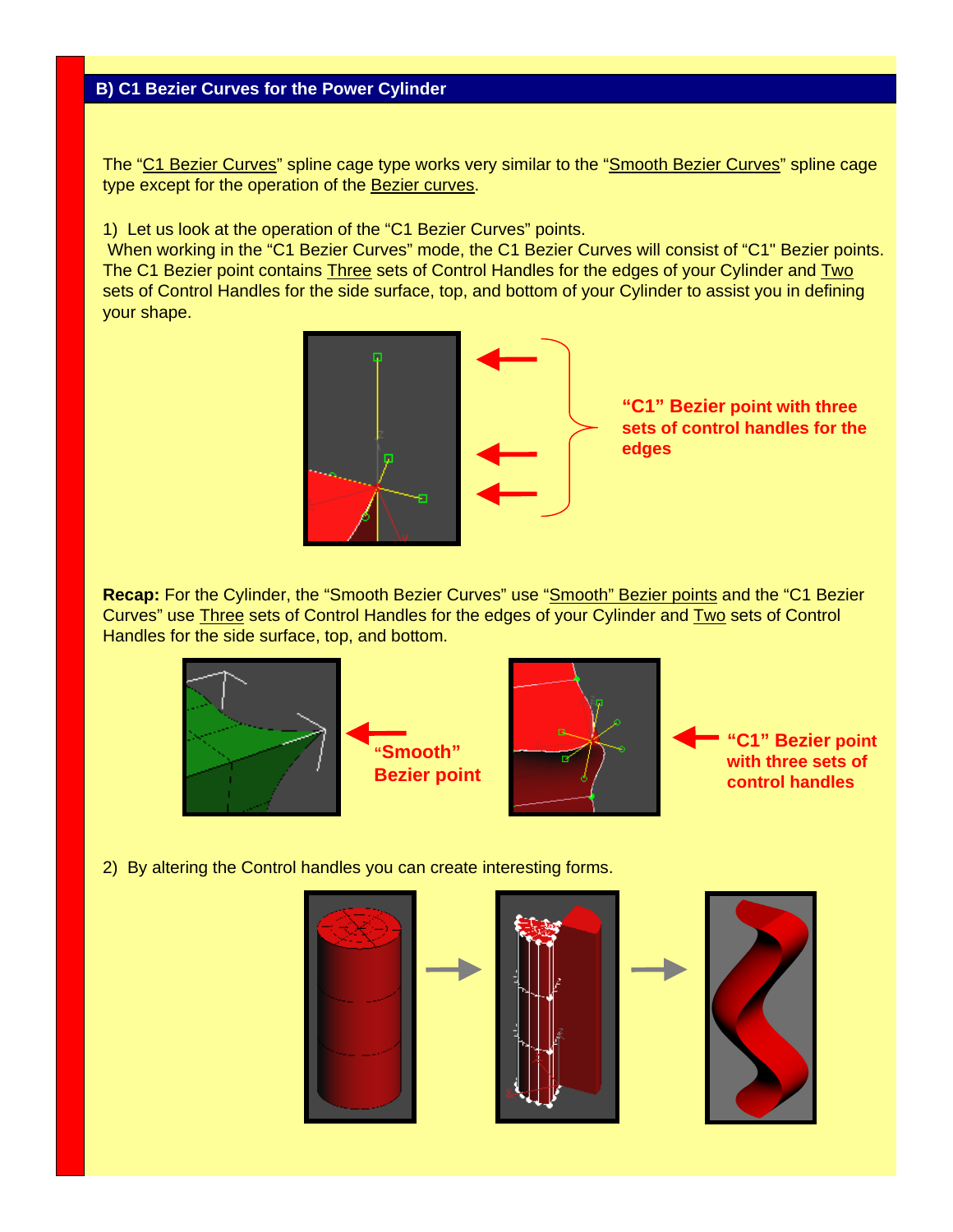The "C1 Bezier Curves" spline cage type works very similar to the "Smooth Bezier Curves" spline cage type except for the operation of the Bezier curves.

1) Let us look at the operation of the "C1 Bezier Curves" points.

When working in the "C1 Bezier Curves" mode, the C1 Bezier Curves will consist of "C1" Bezier points. The C1 Bezier point contains Three sets of Control Handles for the edges of your Cylinder and Two sets of Control Handles for the side surface, top, and bottom of your Cylinder to assist you in defining your shape.



**Recap:** For the Cylinder, the "Smooth Bezier Curves" use "Smooth" Bezier points and the "C1 Bezier Curves" use Three sets of Control Handles for the edges of your Cylinder and Two sets of Control Handles for the side surface, top, and bottom.





**"C1" Bezier point with three sets of control handles**

2) By altering the Control handles you can create interesting forms.